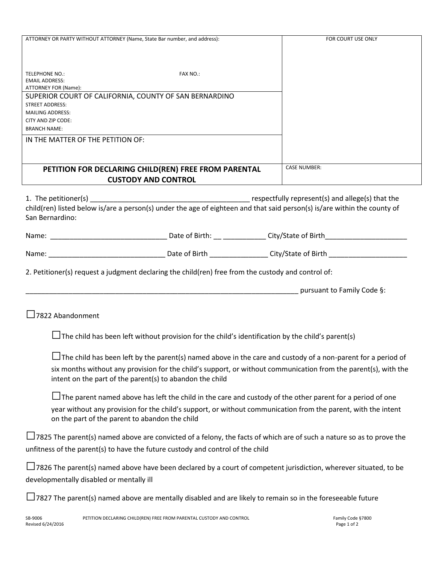| ATTORNEY OR PARTY WITHOUT ATTORNEY (Name, State Bar number, and address):                                                                                                                                                                                                           | FOR COURT USE ONLY  |
|-------------------------------------------------------------------------------------------------------------------------------------------------------------------------------------------------------------------------------------------------------------------------------------|---------------------|
| <b>TELEPHONE NO.:</b><br>FAX NO.:<br><b>EMAIL ADDRESS:</b><br>ATTORNEY FOR (Name):                                                                                                                                                                                                  |                     |
| SUPERIOR COURT OF CALIFORNIA, COUNTY OF SAN BERNARDINO<br><b>STREET ADDRESS:</b><br><b>MAILING ADDRESS:</b><br>CITY AND ZIP CODE:                                                                                                                                                   |                     |
| <b>BRANCH NAME:</b><br>IN THE MATTER OF THE PETITION OF:                                                                                                                                                                                                                            |                     |
| PETITION FOR DECLARING CHILD(REN) FREE FROM PARENTAL<br><b>CUSTODY AND CONTROL</b>                                                                                                                                                                                                  | <b>CASE NUMBER:</b> |
| San Bernardino:                                                                                                                                                                                                                                                                     |                     |
|                                                                                                                                                                                                                                                                                     |                     |
|                                                                                                                                                                                                                                                                                     |                     |
| 2. Petitioner(s) request a judgment declaring the child(ren) free from the custody and control of:                                                                                                                                                                                  |                     |
| example and pursuant to Family Code §:                                                                                                                                                                                                                                              |                     |
| $\Box$ 7822 Abandonment                                                                                                                                                                                                                                                             |                     |
| The child has been left without provision for the child's identification by the child's parent(s)                                                                                                                                                                                   |                     |
| $\Box$ The child has been left by the parent(s) named above in the care and custody of a non-parent for a period of                                                                                                                                                                 |                     |
| six months without any provision for the child's support, or without communication from the parent(s), with the<br>intent on the part of the parent(s) to abandon the child                                                                                                         |                     |
| $\Box$ The parent named above has left the child in the care and custody of the other parent for a period of one<br>year without any provision for the child's support, or without communication from the parent, with the intent<br>on the part of the parent to abandon the child |                     |
| 7825 The parent(s) named above are convicted of a felony, the facts of which are of such a nature so as to prove the<br>unfitness of the parent(s) to have the future custody and control of the child                                                                              |                     |
| 7826 The parent(s) named above have been declared by a court of competent jurisdiction, wherever situated, to be<br>developmentally disabled or mentally ill                                                                                                                        |                     |
| $\Box$ 7827 The parent(s) named above are mentally disabled and are likely to remain so in the foreseeable future                                                                                                                                                                   |                     |